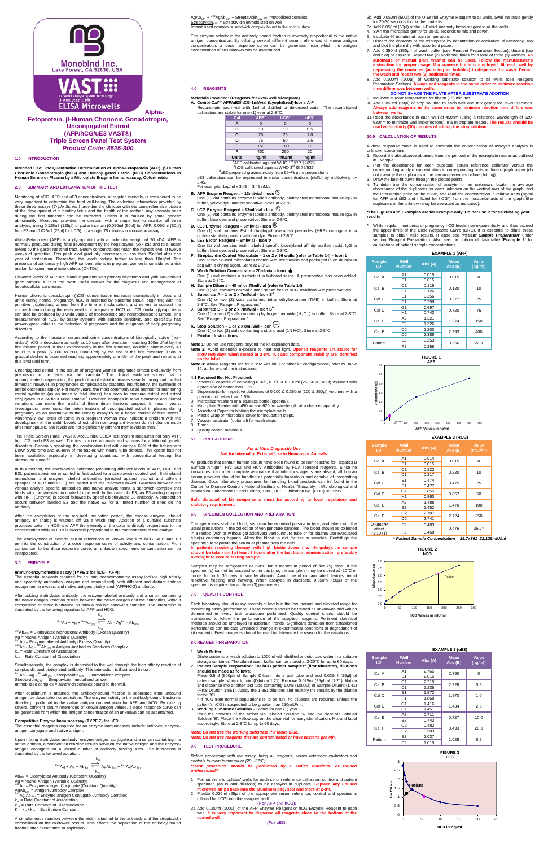







**Alpha-**





**Fetoprotein, β-Human Chorionic Gonadotropin, Unconjugated Estriol (AFP/hCG/uE3 VAST®) Triple Screen Panel Test System** *Product Code: 8525-300*

# **1.0 INTRODUCTION**

**Intended Use: The Quantitative Determination of Alpha-Fetoprotein (AFP), β-Human Chorionic Gonadotropin (hCG) and Unconjugated Estriol (uE3) Concentrations in Human Serum or Plasma by a Microplate Enzyme Immunoassay, Colorimetric**

# **2.0 SUMMARY AND EXPLANATION OF THE TEST**

Alpha-Fetoprotein (AFP) is a glycoprotein with a molecular weight of 70 kDA. AFP is<br>normally produced during fetal development by the hepatocytes, yolk sac and to a lesser<br>extent by the gastrointestinal tract. Serum concen year of postpartum. Thereafter, the levels reduce further to less than 10ng/ml. The presence of abnormally high AFP concentrations in pregnant women is considered a risk marker for open neural tube defects (ONTDs).

Monitoring of hCG, AFP and uE3 concentrations, at regular intervals, is considered to be very important to determine the fetal well-being. The collective information provided by<br>these three assays (*Triple Screen*) provides the clinician with the comprehensive picture<br>of the development of a healthy fetus and analytes, using 0.125ml (125µl) of patient serum (0.050ml (50µl) for AFP, 0.050ml (50µl) for uE3 and 0.025ml (25µl) for hCG), in a single 75 minutes combination assay.

According to the literature, serum and urine concentrations of biologically active (non-<br>nicked) hCG is detectable as early as 10 days after ovulation, reaching 100mlU/ml by the<br>first missed period. It rises exponentially this level until term.

Unconjugated estriol in the serum of pregnant women originates almost exclusively from<br>precursors in the fetus, via the placenta.<sup>3</sup> The clinical evidence shows that in<br>uncomplicated pregnancies, the production of estriol estriol decreases rapidly. For many years, the most commonly used method for monitoring estriol synthesis (as an index to fetal stress) has been to measure estriol and estriol<br>conjugates in a 24 hour urine sample.<sup>4</sup> However, changes in renal clearance and diurnal variations can make the results of these determinations suspect. In recent years,<br>investigators have found the determinations of unconjugated estriol in plasma during<br>pregnancy as an alternative to the urinary assay to be Abnormally low levels of estriol in a pregnant woman may indicate a problem with the development in the child. Levels of estriol in non-pregnant women do not change much<br>after menopause, and levels are not significantly different from levels in men.<sup>7</sup>

Elevated levels of AFP are found in patients with primary hepatoma and yolk sac-derived germ tumors. AFP is the most useful marker for the diagnosis and management of hepatocellular carcinoma.

The Triple Screen Panel VAST® AccuBind® ELISA test system measures not only AFP, but hCG and uE3 as well. The test is more accurate and screens for additional genetic<br>disorders. Generally speaking, the combination test will identify ≥ 60% of the babies with<br>Down Syndrome and 80-90% of the babies with been available, especially in developing countries, with conventional testing like<br>ultrasound alone.<sup>11</sup>

Human chorionic gonadotropin (hCG) concentration increases dramatically in blood and urine during normal pregnancy. hCG is secreted by placental tissue, beginning with the primitive trophoblast, almost from the time of implantation, and serves to support the corpus luteum during the early weeks of pregnancy. HCG or hCG similar glycoproteins<br>can also be produced by a wide variety of trophoblastic and nontrophoblastic tumors. The<br>measurement of hCG, by assay systems with suitabl proven great value in the detection of pregnancy and the diagnosis *of early* pregnancy disorders.

**Immunoenzymometric assay (TYPE 3 for hCG - AFP):**<br>The essential reagents required for an immunoenzymometric assay include high affinity<br>and specificity antibodies (enzyme and immobilized), with different and distinct epit recognition, in excess, and native antigen, biotinylated (AFP/HCG) antibody.

 $k_{-a}$  Biotinylated Monoclonal Antibody (Excess Quantity) Ag = Native Antigen (Variable Quantity)<br><sup>Enz</sup>Ab = Enzyme labeled Antibody (Excess Quantity)<br><sup>Enz</sup>Ab - Ag - <sup>Bin</sup>Ab<sub>(m)</sub> = Antigen-Antibodies Sandwich Complex  $k_a = R_{\text{at}} + R_{\text{at}} + R_{\text{at}}$ <br>  $k_a = \text{Rate Constant of Association}$ k-a = Rate Constant of Dissociation

In this method, the combination calibrator (containing different levels of AFP, HCG and E3), patient specimen or control is first added to a streptavidin coated well. Biotinylated monoclonal and enzyme labeled antibodies (directed against distinct and different<br>epitopes of AFP and HCG) are added and the reactants mixed. Reaction between the<br>various analyte specific antibodies and native analyte form binds with the streptavidin coated to the well. In the case of uE3, an E3 analog coupled with HRP (Enzyme) is added followed by specific biotinylated E3 antibody. A competition occurs between labeled E3 and the native E3 for a limited number of sites on the antibody.

After the completion of the required incubation period, the excess enzyme labeled antibody or analog is washed off via a wash step. Addition of a suitable substrate produces color, In HCG and AFP the intensity of the color is directly proportional to the concentration while in E3 it is inversely proportional to the concentration of the analyte.

The employment of several serum references of known levels of hCG, AFP and E3 permits the construction of a dose response curve of activity and concentration. From comparison to the dose response curve, an unknown specimen's concentration can be interpolated.

- **4.1 Required But Not Provided:** 1. Pipette(s) capable of delivering 0.025, 0.050 & 0.100ml (25, 50 & 100µl) volumes with a precision of better than 1.5%.
- 2. Dispenser(s) for repetitive deliveries of 0.100 & 0.350ml (100 & 350µl) volumes with a precision of better than 1.5%. 3. Microplate washers or a squeeze bottle (optional).
- 
- Microplate Reader with 450nm and 620nm wavelength absorbance capability
- Absorbent Paper for blotting the microplate wells.
- 6. Plastic wrap or microplate cover for incubation steps.
- Vacuum aspirator (optional) for wash steps. **Timer**

# Quality control materials.

# **3.0 PRINCIPLE**

After adding biotinylated antibody, the enzyme-labeled antibody and a serum containing the native antigen, reaction results between the native antigen and the antibodies, without competition or steric hindrance, to form a soluble sandwich complex. The interaction is illustrated by the following equation for AFP and HCG.

$$
\begin{array}{c}\n k_a \\
 \hline\n\end{array}
$$

AgAb<sub>Btn</sub> + <sup>Enz</sup>AgAb<sub>Btn</sub> + <u>Streptavidin<sub>CW</sub> ⇒ immobilized complex</u><br><u>Streptavidin<sub>CW</sub> = Streptavidin immobilized on well</u>

ized complex = sandwich complex bound to the

$$
^{Enz}Ab + Ag + ^{Btn}Ab_{(m)} \searrow Ab - Ag^{Btn} - Ab_{(m)}
$$

specimen to separate the serum or plasma from the cells.<br>In patients receiving therapy with high biotin doses (i.e. >5mg/day), no sample<br>should be taken until at least 8 hours after the last biotin administration, preferab **overnight to ensure fasting sample.**

Simultaneously, the complex is deposited to the well through the high affinity reaction of streptavidin and biotinylated antibody. This interaction is illustrated below:<br><sup>Enz</sup>Ab - Ag - <sup>Bin</sup>Ab<sub>(m)</sub> + Streptavidin<sub>C.W.</sub> ⇒ Immobilized complex Streptavidin  $_{\text{CW}}$  = Streptavidin immobilized on well Immobilized complex = sandwich complex bound to the well.

Samples may be refrigerated at 2-8°C for a maximum period of five (5) days. If the<br>specimen(s) cannot be assayed within this time, the sample(s) may be stored at -20°C or<br>cooler for up to 30 days, in smaller aliquots. Avoi repetitive freezing and thawing. When assayed in duplicate, 0.050ml (50µl) of the specimen is required for all three (3) parameters.

After equilibrium is attained, the antibody-bound fraction is separated from unbound antigen by decantation or aspiration. The enzyme activity in the antibody-bound fraction is directly proportional to the native antigen concentration for AFP and hCG. By utilizing several different serum references of known antigen values, a dose response curve can be generated from which the antigen concentration of an unknown can be ascertained.

# **Competitive Enzyme Immunoassay (TYPE 7) for uE3:**

The essential reagents required for an enzyme immunoassay include antibody, enzyme-antigen conjugate and native antigen.

Upon mixing biotinylated antibody, enzyme-antigen conjugate and a serum containing the native antigen, a competition reaction results between the native antigen and the enzyme-antigen conjugate for a limited number of antibody binding sites. The interaction is illustrated by the followed equation:

k<sub>a</sub>  $E_{\text{max}}$ Ag + Ag + Ab<sub>Btn</sub>  $\Longrightarrow$  AgAb<sub>Btn</sub> +  $E_{\text{max}}$ AgAb<sub>Btn</sub> k-a  $=$  Biotinylated Antibody (Constant Quantity) Ag = Native Antigen (Variable Quantity)<br><sup>Enz</sup>Ag = Enzyme-antigen Conjugate (Constant Quantity) AgAb<sub>Btn</sub> = Antigen-Antibody Complex<br><sup>Enz</sup>Ag Ab<sub>Btn</sub> = Enzyme-antigen Conjugate -Antibody Complex  $k_a$  = Rate Constant of Association = Rate Constant of Disassociation  $K = k_a / k_{a} =$  Equilibrium Constant

A simultaneous reaction between the biotin attached to the antibody and the streptavidin immobilized on the microwell occurs. This effects the separation of the antibody bound fraction after decantation or aspiration.

The enzyme activity in the antibody bound fraction is inversely proportional to the native antigen concentration. By utilizing several different serum references of known antigen concentration, a dose response curve can be generated from which the antigen concentration of an unknown can be ascertained.

#### **4.0 REAGENTS**

#### **Materials Provided: (Reagents for 2x96 well Microplate)**

**A. Combi-Cal™ AFP/uE3/hCG-1ml/vial (Lyophilized)-Icons A-F** Reconstitute each vial with 1ml of distilled or deionized water. The reconstituted calibrators are stable for one (1) year at 2-8°C.

| Cal                                                                                                                                                                                                              | AFP <sup>1</sup> | hCG <sup>2</sup> | uE3 <sup>3</sup> |  |  |
|------------------------------------------------------------------------------------------------------------------------------------------------------------------------------------------------------------------|------------------|------------------|------------------|--|--|
| А                                                                                                                                                                                                                |                  |                  |                  |  |  |
| в                                                                                                                                                                                                                | 10               | 10               | 0.5              |  |  |
| C                                                                                                                                                                                                                | 25               | 25               | 1.0              |  |  |
| D                                                                                                                                                                                                                | 75               | 50               | 2.5              |  |  |
| E                                                                                                                                                                                                                | 150              | 100              | 10               |  |  |
| F                                                                                                                                                                                                                | 400              | 250              | 20               |  |  |
| <b>Units</b>                                                                                                                                                                                                     | ng/ml            | $m$ IU/ml        | ng/ml            |  |  |
| <sup>1</sup> AFP calibrated against WHO 1 <sup>st</sup> IRP 72/225<br><sup>2</sup> hCG calibrated against WHO 3 <sup>rd</sup> IS 75/537<br><sup>3</sup> uE3 prepared gravimetrically from 99+% pure preparations |                  |                  |                  |  |  |

uE3 calibrators can be expressed in molar concentrations (nM/L) by multiplying by

Mhile regular monitoring of pregnancy hCG levels rise exponentially and thus exceed<br>the upper limits of the *Dose Response Curve* (DRC). It is essential to dilute these<br>samples to obtain valid results. (Please see '*Patien* section 'Reagent Preparation). Also see the bottom of data table '**Example 2'** for calculations of patient sample concentrations.



**FIGURE 2** 

- 3.45. For example: 1ng/ml x 3.45 = 3.45 nM/L
- **B. AFP Enzyme Reagent – 13ml/vial - Icon <sup>E</sup>**
- One (1) vial contains enzyme labeled antibody, biotinylated monoclonal mouse IgG in buffer, yellow dye, and preservative. Store at 2-8°C.
- **C. hCG Enzyme Reagent – 13ml/vial - Icon <sup>E</sup>**
- One (1) vial contains enzyme labeled antibody, biotinylated monoclonal mouse IgG in buffer, blue dye, and preservative. Store at 2-8°C.
- **D. uE3 Enzyme Reagent – 6ml/vial - Icon <sup>E</sup>** One (1) vial contains Estriol (Analog)-horseradish peroxides (HRP) conjugate in a protein stabilizing matrix with red dye. Store at 2-8°C.
- **E. uE3 Biotin Reagent – 6ml/vial - Icon** ∇ One (1) vial contains biotin labeled specific biotinylated affinity purified rabbit IgG in
- buffer, blue dye, and preservative. Store at 2-8°C. **F. Streptavidin Coated Microplate – 1 or 2 x 96 wells (refer to Table 14) – Icon** ⇓
- One or two 96-well microplates coated with streptavidin and packaged in an aluminum bag with a drying agent. Store at 2-8°C. **G. Wash Solution Concentrate – 20ml/vial - Icon**
- One (1) vial contains a surfactant in buffered saline. A preservative has been added. Store at 2-8°C.
- **H. Sample Diluent – 40 ml or 75ml/vial (refer to Table 14)** One (1) vial contains normal human serum free of hCG stabilized with preservatives. **I. Substrate A – 1 or 2 x 7ml/vial - Icon SA**
- One (1) or two (2) vials containing tetramethylbenzidine (TMB) in buffer. Store at 2-8°C. See "Reagent Preparation." **J. Substrate B – 1 or 2 x 7ml/vial - Icon SB**
- One (1) or two (2) vials containing hydrogen peroxide (H<sub>2</sub>O<sub>2</sub>) in buffer. Store at 2-8°C. See "Reagent Preparation."

One (1) or two (2) vials containing a strong acid (1N HCl). Store at 2-8°C. **L. Product Instructions**

# **Note 1:** Do not use reagents beyond the kit expiration date.

- **Note 2:** Avoid extended exposure to heat and light. **Opened reagents are stable for sixty (60) days when stored at 2-8**°**C. Kit and component stability are identified on the label. Note 3:** Above reagents are for a 192 well kit. For other kit configurations, refer to table
- 14, at the end of the instructions.

# **5.0 PRECAUTIONS**

#### *For In Vitro Diagnostic Use* **Not for Internal or External Use in Humans or Animals**

All products that contain human serum have been found to be non-reactive for Hepatitis B Surface Antigen, HIV 1&2 and HCV Antibodies by FDA licensed reagents. Since no known test can offer complete assurance that infectious agents are absent, all human<br>serum products should be handled as potentially hazardous and capable of transmitting<br>disease. Good laboratory procedures for handling bl Biomedical Laboratories," 2nd Edition, 1988, HHS Publication No. (CDC) 88-8395.

#### **Safe disposal of kit components must be according to local regulatory and statutory requirement.**

# **6.0 SPECIMEN COLLECTION AND PREPARATION**

The specimens shall be blood, serum or heparanised plasma in type, and taken with the usual precautions in the collection of venipuncture samples. The blood should be collected in a redtop (with or without gel additives) venipuncture tube or for plasma use evacuated tube(s) containing heparin. Allow the blood to clot for serum samples. Centrifuge the

# **7.0 QUALITY CONTROL**

Each laboratory should assay controls at levels in the low, normal and elevated range for monitoring assay performance. These controls should be treated as unknowns and values determined in every test procedure performed. Quality control charts should be maintained to follow the performance of the supplied reagents. Pertinent statistical methods should be employed to ascertain trends. Significant deviation from established performance can indicate unnoticed change in experimental conditions or degradation of kit reagents. Fresh reagents should be used to determine the reason for the variations.

#### **8.0REAGENT PREPARATION**

## 1. **Wash Buffer**

Dilute contents of wash solution to 1000ml with distilled or deionized water in a suitable storage container. The diluted wash buffer can be stored at 2-30°C for up to 60 days. 2. **Patient Sample Preparation: For hCG patient samples\* (first trimester), dilutions** 

**should be made as follows:**

Place 0.5ml (500µl) of Sample Diluent into a test tube and add 0.025ml (25µl) of patient sample. Vortex to mix. (Dilution 1:21). Remove 0.025ml (25µl) of (1:21) dilution and dispense into another test tube containing 1.0ml (1000µl) of Sample Diluent (1/41) (Final Dilution 1:861). Assay the 1:861 dilutions and multiply the results by the dilution factor 861.

\* If hCG from normal populations is to be run, no dilutions are required, unless the patient's hCG is suspected to be greater than 250mIU/ml.

3. **Working Substrate Solution –** Stable for one (1) year

Pour the contents of the amber vial labeled Solution 'A' into the clear vial labeled Solution 'B'. Place the yellow cap on the clear vial for easy identification. Mix and label accordingly. Store at 2-8°C for up to 60 days.

# *Note: Do not use the working substrate if it looks blue. Note: Do not use reagents that are contaminated or have bacteria growth.*

# **9.0 TEST PROCEDURE**

# **K. Stop Solution – 1 or 2 x 8ml/vial - Icon STOP**

*Before proceeding with the assay, bring all reagents, serum reference calibrators and* 

*controls to room temperature (20 - 27*°*C). \*\*Test procedure should be performed by a skilled individual or trained professional\*\**

- 1. Format the microplates' wells for each serum reference calibrator, control and patient specimen (as is and dilutions) to be assayed in duplicate. **Replace any unused microwell strips back into the aluminum bag, seal and store at 2-8°C.**
- 2. Pipette 0.025ml (25µl) of the appropriate serum reference, control and specimens (diluted for hCG) into the assigned well.

**(For AFP and hCG):** 3a.Add 0.100ml (100µl) of the AFP Enzyme Reagent or hCG Enzyme Reagent to each well. **It is very important to dispense all reagents close to the bottom of the coated well.**

**(For uE3):**

3b. Add 0.050ml (50µl) of the U-Estriol Enzyme Reagent to all wells. Swirl the plate gently for 20-30 seconds to mix the contents.

- 3c. Add 0.050ml (50µl) of the U-Estriol Antibody biotin reagent to all the wells.
- Swirl the microplate gently for 20-30 seconds to mix and cover.
- 5. Incubate 60 minutes at room temperature.
- 6. Discard the contents of the microplate by decantation or aspiration. If decanting, tap<br> and blot the plate dry with absorbent paper.<br>7. Add 0.350ml (350µl) of wash buffer (see Reagent Preparation Section), decan
- and blot) or aspirate. Repeat two (2) additional times for a total of three (3) washes. **An**<br>automatic or manual plate washer can be used. Follow the manufacturer's<br>i<mark>nstruction for proper usage. If a squeeze bot</mark> **depressing the container (avoiding air bubbles) to dispense the wash. Decant the wash and repeat two (2) additional times.**
- 8. Add 0.100ml (100µl) of working substrate solution to all wells (see Reagent Preparation Section). **Always add reagents in the same order to minimize reaction time differences between wells.**
- **DO NOT SHAKE THE PLATE AFTER SUBSTRATE ADDITION** 9. Incubate at room temperature for fifteen (15) minutes.
- 10.Add 0.050ml (50µl) of stop solution to each well and mix gently for 15-20 seconds. **Always add reagents in the same order to minimize reaction time differences**
- **between wells.** 11.Read the absorbance in each well at 450nm (using a reference wavelength of 620- 630nm to minimize well imperfections) in a microplate reader. **The results should be read within thirty (30) minutes of adding the stop solution.**

### **10.0 CALCULATION OF RESULTS**

A dose response curve is used to ascertain the concentration of assayed analytes in unknown specimens.

- 1. Record the absorbance obtained from the printout of the microplate reader as outlined in Example 1.
- 2. Plot the absorbance for each duplicate serum reference calibrator versus the corresponding analyte concentration in corresponding units on linear graph paper (do not average the duplicates of the serum references before plotting).
- 3. Draw the best-fit curve through the plotted points 4. To determine the concentration of analyte for an unknown, locate the average absorbance of the duplicates for each unknown on the vertical axis of the graph, find the intersecting point on the curve, and read the concentration in relative units (ng/ml for AFP and uE3 and mIU/ml for hCG\*) from the horizontal axis of the graph (the duplicates of the unknown may be averaged as indicated).

#### **\*The Figures and Examples are for example only. Do not use it for calculating your results**

#### **EXAMPLE 1 (AFP)**

| <b>Sample</b><br>LD. | Well<br><b>Number</b> | Abs (A) | <b>Mean</b><br>Abs(B) | Value<br>(nq/ml) |  |
|----------------------|-----------------------|---------|-----------------------|------------------|--|
| Cal A                | A1                    | 0.015   | 0.015                 | 0                |  |
|                      | <b>B1</b>             | 0.015   |                       |                  |  |
| Cal B                | C <sub>1</sub>        | 0.115   | 0.120                 | 10               |  |
|                      | D <sub>1</sub>        | 0.126   |                       |                  |  |
| Cal C                | E <sub>1</sub>        | 0.256   | 0.277                 | 25               |  |
|                      | F <sub>1</sub>        | 0.298   |                       |                  |  |
| Cal D                | G <sub>1</sub>        | 0.697   | 0.720                 | 75               |  |
|                      | H1                    | 0.743   |                       |                  |  |
| Cal E                | A2                    | 1.221   | 1.274                 | 150              |  |
|                      | <b>B2</b>             | 1.326   |                       |                  |  |
|                      | C <sub>2</sub>        | 2.200   | 2.293                 | 400              |  |
| Cal F                | D <sub>2</sub>        | 2.386   |                       |                  |  |
| Patient              | E <sub>2</sub>        | 0.253   |                       |                  |  |
|                      | F <sub>2</sub>        | 0.258   | 0.256                 | 22.9             |  |



**EXAMPLE 3 (uE3)**

|                       |                       |         | LAMINITLL J (ULJ)        |                  |  |
|-----------------------|-----------------------|---------|--------------------------|------------------|--|
| <b>Sample</b><br>I.D. | Well<br><b>Number</b> | Abs (A) | <b>Mean</b><br>Abs $(B)$ | Value<br>(ng/ml) |  |
| Cal A                 | A1                    | 2.765   | 2.790                    | 0                |  |
|                       | <b>B1</b>             | 2.815   |                          |                  |  |
| Cal B                 | C <sub>1</sub>        | 2.219   | 2.226                    | 0.5              |  |
|                       | D <sub>1</sub>        | 2.235   |                          |                  |  |
| Cal C                 | E1                    | 1.872   | 1.870                    | 1.0              |  |
|                       | F <sub>1</sub>        | 1.868   |                          |                  |  |
| Cal D                 | G <sub>1</sub>        | 1.416   | 1.434                    | 2.5              |  |
|                       | H1                    | 1.451   |                          |                  |  |
| Cal E                 | A2                    | 0.711   | 0.727                    | 10.0             |  |
|                       | <b>B2</b>             | 0.743   |                          |                  |  |
| Cal F                 | C <sub>2</sub>        | 0.482   | 0.493                    | 20.0             |  |
|                       | D <sub>2</sub>        | 0.503   |                          |                  |  |
|                       | E <sub>2</sub>        | 1.037   |                          |                  |  |
| Patient               | F <sub>2</sub>        | 1.019   | 1.028                    | 5.2              |  |